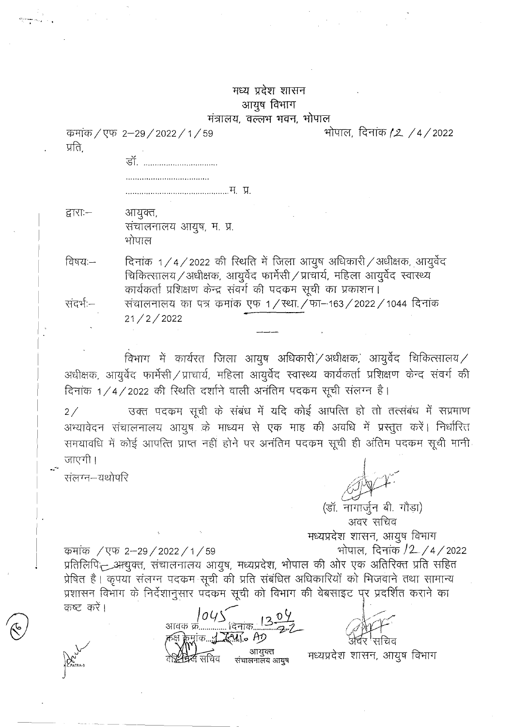## मध्य प्रदेश शासन आयुष विभाग मंत्रालय, वल्लभ भवन, भोपाल

कमांक / एफ 2-29 / 2022 / 1 / 59 प्रति

> <u>र्लो</u>

द्वाराः— आयुक्त, संचालनालय आयुष, म. प्र. भोपाल

दिनांक 1/4/2022 की रिथति में जिला आयुष अधिकारी/अधीक्षक, आयुर्वेद विषय:— चिकित्सालय / अधीक्षक, आयुर्वेद फार्मेसी / प्राचार्य, महिला आयुर्वेद स्वास्थ्य कार्यकर्ता प्रशिक्षण केन्द्र संवर्ग की पदकम सूची का प्रकाशन। संचालनालय का पत्र कमांक एफ 1/स्था./फा-163/2022/1044 दिनांक संदर्भ:—  $21/2/2022$ 

विभाग में कार्यरत जिला आयुष अधिकारी $\overline{Z}$ अधीक्षक, आयुर्वेद चिकित्सालय $\overline{Z}$ अधीक्षक, आयुर्वेद फार्मेसी / प्राचार्य, महिला आयुर्वेद स्वास्थ्य कार्यकर्ता प्रशिक्षण केन्द संवर्ग की दिनांक 1/4/2022 की स्थिति दर्शाने वाली अनंतिम पदकम सूची संलग्न है।

उक्त पदकम सूची के संबंध में यदि कोई आपत्ति हो तो तत्संबंध में सप्रमाण  $2/$ अभ्यावेदन संचालनालय आयुष के माध्यम से एक माह की अवधि में प्रस्तुत करें। निर्धारित समयावधि में कोई आपत्ति प्राप्त नहीं होने पर अनंतिम पदकम सूची ही अंतिम पदकम सूची मानी जाएगी ।

संलग्न–यथोपरि

कष्ट करें।

कर्माक / एफ 2–29 / 2022 / 1 / 59

भोपाल, दिनांक *(2. / 4 /* 2022

(डॉ. नागार्जुन बी. गौड़ा) अवर सचिव मध्यप्रदेश शासन, आयुष विभाग भोपाल, दिनांक /2 /4/2022 प्रतिलिपि आयुक्त, संचालनालय आयुष, मध्यप्रदेश, भोपाल की ओर एक अतिरिक्त प्रति सहित प्रेषित है। कृपया संलग्न पदकम सूची की प्रति संबंधित अधिकारियों को भिजवाने तथा सामान्य प्रशासन विभाग के निर्देशानुसार पदकम सूची को विभाग की वेबसाइट पर प्रदर्शित कराने का

आवक क्रं.. क्रमांक <u>: : रिप</u>ांन AD

आयुक्त<br>संचालनालय आयुष सध्यप्रदेश शासन, आयुष विभाग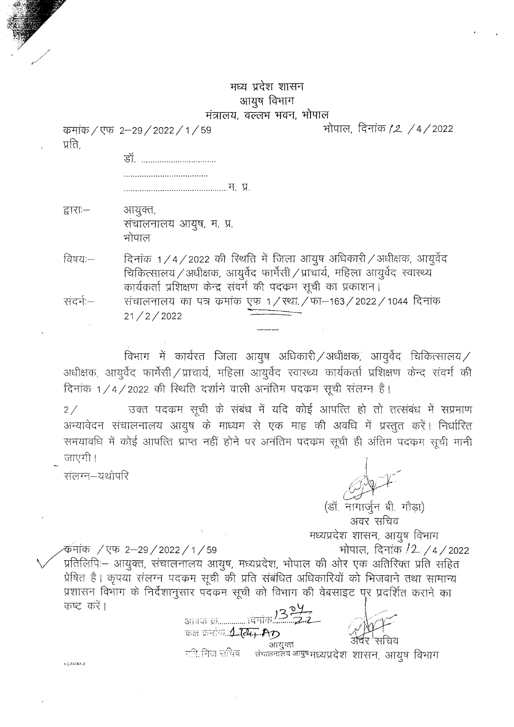## मध्य प्रदेश शासन आयुष विभाग मंत्रालय, वल्लभ भवन, भोपाल

कमांक / एफ 2-29 / 2022 / 1 / 59 प्रति.

डॉ. ............................... 

द्वाराः— आयुक्त, संचालनालय आयुष, म. प्र. भोपाल

दिनांक 1/4/2022 की रिथति में जिला आयूष अधिकारी/अधीक्षक, आयुर्वेद विषय:— चिकित्सालय / अधीक्षक, आयूर्वेद फार्मेसी / प्राचार्य, महिला आयुर्वेद स्वास्थ्य कार्यकर्ता प्रशिक्षण केन्द्र संवर्ग की पदकम सूची का प्रकाशन। संचालनालय का पत्र क्रमांक एफ 1/स्था./फा-163/2022/1044 दिनांक संदर्भ –  $21 / 2 / 2022$ 

विभाग में कार्यरत जिला आयुष अधिकारी/अधीक्षक, आयुर्वेद चिकित्सालय/ अधीक्षक, आयुर्वेद फार्मेसी / प्राचार्य, महिला आयुर्वेद स्वास्थ्य कार्यकर्ता प्रशिक्षण केन्द संवर्ग की दिनांक 1/4/2022 की रिथति दर्शाने वाली अनंतिम पदकम सूची संलग्न है।

उक्त पदकम सूची के संबंध में यदि कोई आपत्ति हो तो तत्संबंध में सप्रमाण  $2/$ अभ्यावेदन संचालनालय आयुष के माध्यम से एक माह की अवधि में प्रस्तुत करें। निर्धारित समयावधि में कोई आपत्ति प्राप्त नहीं होने पर अनंतिम पदकम सूची ही अंतिम पदकम सूची मानी जाएगी ।

संलग्न—यथोपरि

्आयुक्तः । अत्र राम्यप्र<br>संचलनालय आयुषम्ध्यप्रदेशः शासन, आयुषः विभागः

भोपाल, दिनांक /2 /4/2022

(डॉ. नागार्जुन बी. गौड़ा) अवर सचिव मध्यप्रदेश शासन, आयुष विभाग -कॅमांक / एफ. 2–29 / 2022 / 1 / 59 भोपाल, दिनांक /2 /4/2022 प्रतिलिपिः– आयुक्त, संचालनालय आयुष, मध्यप्रदेश, भोपाल की ओर एक अतिरिक्त प्रति सहित प्रेषित है। कृपयाँ संलग्न पदकम सूची की प्रति संबंधित अधिकारियों को भिजवाने तथा सामान्य प्रशासन विभाग के निर्देशानुसार पदंकम सूची को विभाग की वेबसाइट पुर प्रदर्शित कराने का कष्ट करें। आवक क्र…………… ।देनांक <mark>/3 <sup>2</sup>.</mark><br>———————————————————— कक्ष क्रमांक 1 सि. AD

 $\tau$ रि, निज सचिव $\tau$ 

K.C.PATRA-3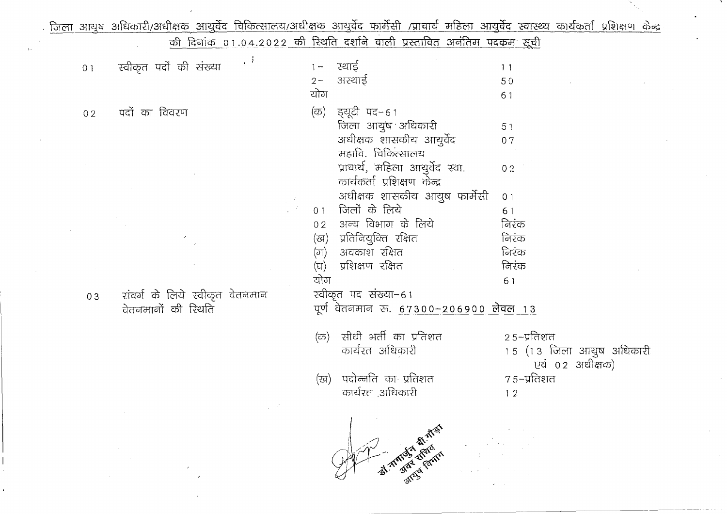|                |                        |                     |                                |          |                       | जिला आयुष अधिकारी/अधीक्षक आयुर्वेद चिकित्सालय/अधीक्षक आयुर्वेद फार्मेसी /प्राचार्य महिला आयुर्वेद स्वास्थ्य कार्यकर्ता प्रशिक्षण केन्द्र |                |                         |                                               |  |
|----------------|------------------------|---------------------|--------------------------------|----------|-----------------------|------------------------------------------------------------------------------------------------------------------------------------------|----------------|-------------------------|-----------------------------------------------|--|
|                |                        |                     |                                |          |                       | <u>की दिनांक 01.04.2022 की स्थिति दर्शाने वाली प्रस्तावित अनंतिम पदकम सूची</u>                                                           |                |                         |                                               |  |
| 0 <sub>1</sub> | स्वीकृत पदों की संख्या |                     | $\mathcal{F}^{\mathcal{A}}$    |          | $1 -$<br>$2 -$<br>योग | रथाई<br>अरथाई                                                                                                                            |                | 11<br>50<br>61          |                                               |  |
| 02             | पदों का विवरण          |                     |                                |          | (क)                   | ड्यूटी पद–61<br>जिला आयुष अधिकारी<br>अधीक्षक शासकीय आयुर्वेद                                                                             |                | 51<br>07                |                                               |  |
|                |                        |                     |                                |          |                       | महावि. चिकित्सालय<br>प्राचार्य, महिला आयुर्वेद स्वा.<br>कार्यकर्ता प्रशिक्षण केन्द्र<br>अधीक्षक शासकीय आयुष फार्मेसी                     |                | 02<br>0 <sub>1</sub>    |                                               |  |
|                |                        |                     |                                | $\sim 2$ |                       | 01 जिलों के लिये<br>02 अन्य विभाग के लिये                                                                                                |                | 61<br>निरंक             |                                               |  |
|                |                        |                     |                                |          | (ग)<br>(घ)            | (ख)  प्रतिनियुक्ति रक्षित<br>अवकाश रक्षित<br>प्रशिक्षण रक्षित                                                                            |                | निरंक<br>निरंक<br>निरंक |                                               |  |
| 03             | वेतनमानों की रिथति     |                     | संवर्ग के लिये स्वीकृत वेतनमान |          | योग                   | रवीकृत पद संख्या–61<br>. पूर्ण वेतनमान रु. <u>67300-206900 लेवल 13</u>                                                                   |                | 61                      |                                               |  |
|                |                        |                     |                                |          | (क)                   | सीधी भर्ती का प्रतिशत<br>कार्यरत अधिकारी                                                                                                 |                | २ ५–प्रतिशत             | 1.5 (1.3 जिला आयुष अधिकारी<br>एवं ०२ अधीक्षक) |  |
|                |                        |                     |                                |          |                       | (ख) पदोन्नति का प्रतिशत<br>कार्यरत ,अधिकारी                                                                                              |                | 7 ५–प्रतिशत<br>12       |                                               |  |
|                |                        | $\mathcal{O}^{\pm}$ |                                |          |                       | <b>EXAMPLE 25 A REAL ASSESS</b>                                                                                                          | North American |                         |                                               |  |

 $\hat{\rho}$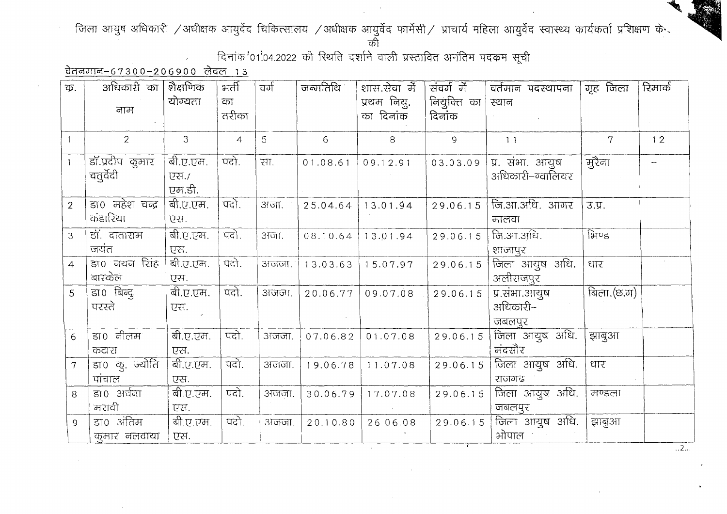## जिला आयुष अधिकारी /अधीक्षक आयुर्वेद चिकित्सालय /अधीक्षक आयुर्वेद फार्मेसी/ प्राचार्य महिला आयुर्वेद स्वास्थ्य कार्यकर्ता प्रशिक्षण के

की

दिनांक '01.04.2022 की स्थिति दर्शाने वाली प्रस्तावित अनंतिम पदकम सूची

वेतनमान-67300-206900 लेवल 13

| क.             | अधिकारी का<br>नाम                     | शैक्षणिकं<br>योग्यता       | भर्ती<br>का    | ਕर्ग  | जन्मतिथि | शास.सेवा में<br>प्रथम नियु. | संवर्ग में<br>नियुक्ति का | वर्तमान पदस्थापना<br>स्थान          | गृह जिला       | रिमार्क |
|----------------|---------------------------------------|----------------------------|----------------|-------|----------|-----------------------------|---------------------------|-------------------------------------|----------------|---------|
|                |                                       |                            | तरीका          |       |          | का दिनांक                   | दिनांक                    |                                     |                |         |
|                | $\overline{2}$                        | $\mathbf{3}$               | $\overline{4}$ | 5     | 6        | 8                           | $\mathsf{S}$              | 11                                  | $\overline{7}$ | 12      |
|                | डॉ.प्रदीप कुमार<br>चतुर्वेदी          | बी.ए.एम.<br>एस./<br>एम.डी. | पदो.           | रग.   | 01.08.61 | 09.12.91                    | 03.03.09                  | प्र. संभा. आयुष<br>अधिकारी–ग्वालियर | मुरैना         |         |
| $\overline{2}$ | डा0 महेश चन्द्र<br>कंडारिया           | बी.ए.एम.<br>एस.            | पदो.           | अजा.  | 25.04.64 | 13.01.94                    | 29.06.15                  | जि.आ.अधि. आगर<br>मालवा              | 3.Y.           |         |
| 3              | डॉ. दाताराम<br>जयंत                   | बी.ए.एम.<br>एस.            | पदो.           | अजा.  | 08.10.64 | 13.01.94                    | 29.06.15                  | जि.आ.अधि.<br>शाजापुर                | भिण्ड          |         |
| $\overline{4}$ | डा0 नयन सिंह<br>बारकेल                | बी.ए.एम.<br>एस.            | पदो.           | अजजा. |          | $13.03.63$   15.07.97       | 29.06.15                  | जिला आयुष अधि.<br>अलीराजपुर         | धार            |         |
| 5              | डा0 बिन्द्<br>परस्ते                  | बी.ए.एम.<br>एस.            | पदो.           | अजना. | 20.06.77 | 09.07.08                    | 29.06.15                  | प्र.संभा.आयुष<br>अधिकारी–<br>जबलपुर | बिला. $(5.7)$  |         |
| 6              | $\overline{\text{SIO}}$ नीलम<br>कटारा | बी.ए.एम.<br>एस.            | पदो.           | अजना. | 07.06.82 | 01.07.08                    | 29.06.15                  | जिला आयुष अधि.<br>मंदसौर            | झाबुआ          |         |
| $\overline{7}$ | डा० कु. ज्योति<br>पांचाल              | बी.ए.एम.<br>एस.            | पदो.           | अजना. | 19.06.78 | 11.07.08                    | 29.06.15                  | जिला आयुष अधि.<br>राजगढ             | धार            |         |
| 8              | डा0 अर्चना<br>मरावी                   | बी.ए.एम.<br>एस.            | पदो.           | अजना. | 30.06.79 | 17.07.08                    | 29.06.15                  | जिला आयुष अधि.<br>जबलपुर            | मण्डला         |         |
| $\overline{9}$ | डा० अंतिम<br>कुमार नलवाया             | बी.ए.एम.<br>एस.            | पदो.           | अजना. | 20.10.80 | 26.06.08                    | 29.06.15                  | जिला आयुष अधि.<br>भोपाल             | झाबुआ          |         |

 $\ldots$  2  $\ldots$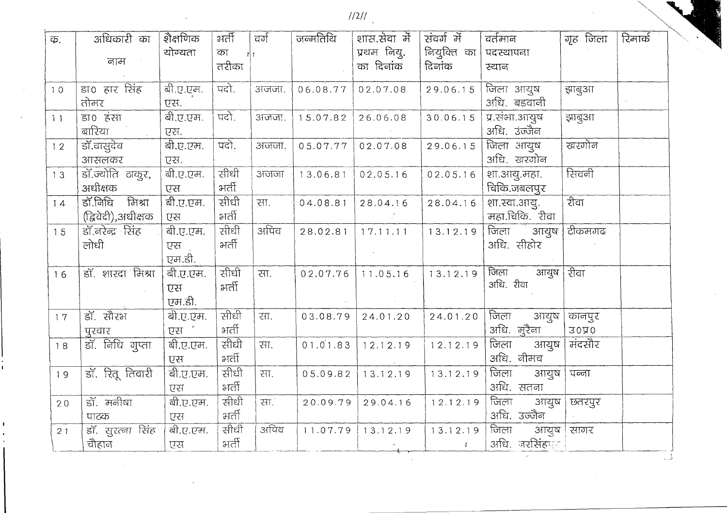$\frac{1}{2}$ 

| क. | अधिकारी का<br>नाम  | शेक्षणिक<br>योग्यता | भर्ती<br>का<br>तरीका | वर्ग  | जन्मतिथि | शास.सेवा में<br>प्रथम नियु.<br>का दिनांक | संवर्ग में<br>नियुक्ति का<br>दिनांक | वर्तमान<br>पदस्थापना<br>स्थान | गृह जिला    | रिमार्क |
|----|--------------------|---------------------|----------------------|-------|----------|------------------------------------------|-------------------------------------|-------------------------------|-------------|---------|
|    |                    |                     |                      |       |          |                                          |                                     |                               |             |         |
| 10 | डा0 हार सिंह       | बी.ए.एम.            | पदो.                 | अजजा. | 06.08.77 | 02.07.08                                 | 29.06.15                            | जिला आयुष                     | झाबुआ       |         |
|    | तोमर               | एस.                 |                      |       |          |                                          |                                     | अधि. बडवानी                   |             |         |
| 11 | डा0 हंसा           | बी.ए.एम.            | पदो.                 | अजना. | 15.07.82 | 26.06.08                                 | 30.06.15                            | प्र.संभा.आयुष                 | झाबुआ       |         |
|    | बारिया             | एस.                 |                      |       |          |                                          |                                     | अधि. उंज्जैन                  |             |         |
| 12 | डॉ.वासुदेव         | बी.ए.एम.            | पदो.                 | अजना. | 05.07.77 | 02.07.08                                 | 29.06.15                            | जिला आयुष                     | खरगोन       |         |
|    | आसलकर              | एस.                 |                      |       |          |                                          |                                     | अधि. खरगोन                    |             |         |
| 13 | डॉ.ज्योति ठाकुर,   | बी.ए.एम.            | सीधी                 | अजना  | 13.06.81 | 02.05.16                                 | 02.05.16                            | शा.आयु.महा.                   | सिवनी       |         |
|    | अधीक्षक            | एस                  | भर्ती                |       |          |                                          |                                     | चिकि.जबलपुर                   |             |         |
| 14 | डॉ.निधि<br>मिश्रा  | बी.ए.एम.            | सीधी                 | सा.   | 04.08.81 | 28.04.16                                 | 28.04.16                            | शा.स्वा.आयु.                  | रीवा        |         |
|    | (द्विवेदी),अधीक्षक | एस                  | भर्ती                |       |          |                                          |                                     | महा.चिकि. रीवा                |             |         |
| 15 | डॉ.नरेन्द्र सिंह   | बी.ए.एम.            | सीधी                 | अपिंव | 28.02.81 | 17.11.11                                 | 13.12.19                            | जिला<br>अायुष                 | टीकमगढ      |         |
|    | लोधी               | एस                  | भर्ती                |       |          |                                          |                                     | अधि. सीहोर                    |             |         |
|    |                    | एम.डी.              |                      |       |          |                                          |                                     |                               |             |         |
| 16 | डॉ. शारदा मिश्रा   | बी.ए.एम.            | सीधी                 | रग.   | 02.07.76 | 11.05.16                                 | 13.12.19                            | जिला<br>आयुष                  | रीवा        |         |
|    |                    | एस                  | भर्ती                |       |          |                                          |                                     | अधि. रीवा                     |             |         |
|    |                    | एम.डी.              |                      |       |          |                                          |                                     |                               |             |         |
| 17 | डॉ. सौरभ           | बी.ए.एम.            | सीधी                 | रना.  | 03.08.79 | 24.01.20                                 | 24.01.20                            | जिला<br>आयुष                  | कानपुर      |         |
|    | पुरवार             | ਦੁਸ਼ <sup>ੇ</sup>   | भर्ती                |       |          |                                          |                                     | अधि. मुरैना                   | <b>3040</b> |         |
| 18 | डॉ. निधि गुप्ता    | बी.ए.एम.            | सीधी                 | सा.   | 01.01.83 | 12.12.19                                 | 12.12.19                            | जिला<br>आयुष                  | मंदसौर      |         |
|    |                    | एस                  | भर्ती                |       |          |                                          |                                     | अधि. नीमच                     |             |         |
| 19 | डॉ. रितू तिवारी    | बी.ए.एम.            | सीधी                 | रग.   | 05.09.82 | 13.12.19                                 | 13.12.19                            | जिला<br>अायुष                 | पन्ना       |         |
|    |                    | एस                  | भर्ती                |       |          |                                          |                                     | अधि. सतना                     |             |         |
| 20 | डॉ. मनीषा          | बी.ए.एम.            | सीधी                 | सा.   | 20.09.79 | 29.04.16                                 | 12.12.19                            | जिला<br>आयुष                  | छतरपुर      |         |
|    | पाठक               | एस                  | भर्ती                |       |          |                                          |                                     | अधि. उज्जैन                   |             |         |
| 21 | डॉ. सुरत्ना सिंह   | बी.ए.एम.            | सीधी                 | अपिव  | 11.07.79 | 13.12.19                                 | 13.12.19                            | जिला<br>अायुष                 | सागर        |         |
|    | चौहान              | ਦੁਸ਼                | भर्ती                |       |          |                                          | $\mathcal{V}$                       | अधि. नरसिंहपूर                |             |         |

 $\ldots$ 

Ž

 $\alpha$